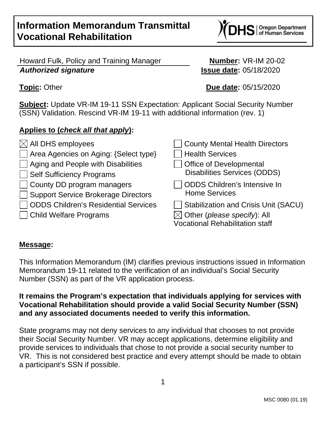# **Information Memorandum Transmittal Vocational Rehabilitation**

## Howard Fulk, Policy and Training Manager **Number:** VR-IM 20-02 **Authorized signature Issue date:** 05/18/2020

**Topic:** Other **Due date:** 05/15/2020

**Subject:** Update VR-IM 19-11 SSN Expectation: Applicant Social Security Number (SSN) Validation. Rescind VR-IM 19-11 with additional information (rev. 1)

# **Applies to (check all that apply):**

| $\boxtimes$ All DHS employees             | County Mental Health Directors              |
|-------------------------------------------|---------------------------------------------|
| □ Area Agencies on Aging: {Select type}   | <b>Health Services</b>                      |
| $\Box$ Aging and People with Disabilities | <b>Office of Developmental</b>              |
| Self Sufficiency Programs                 | <b>Disabilities Services (ODDS)</b>         |
| County DD program managers                | <b>ODDS Children's Intensive In</b>         |
| Support Service Brokerage Directors       | <b>Home Services</b>                        |
| ODDS Children's Residential Services      | <b>Stabilization and Crisis Unit (SACU)</b> |
| □ Child Welfare Programs                  | $\boxtimes$ Other (please specify): All     |
|                                           | <b>Vocational Rehabilitation staff</b>      |
|                                           |                                             |

## **Message:**

This Information Memorandum (IM) clarifies previous instructions issued in Information Memorandum 19-11 related to the verification of an individual's Social Security Number (SSN) as part of the VR application process.

### **It remains the Program's expectation that individuals applying for services with Vocational Rehabilitation should provide a valid Social Security Number (SSN) and any associated documents needed to verify this information.**

State programs may not deny services to any individual that chooses to not provide their Social Security Number. VR may accept applications, determine eligibility and provide services to individuals that chose to not provide a social security number to VR. This is not considered best practice and every attempt should be made to obtain a participant's SSN if possible.

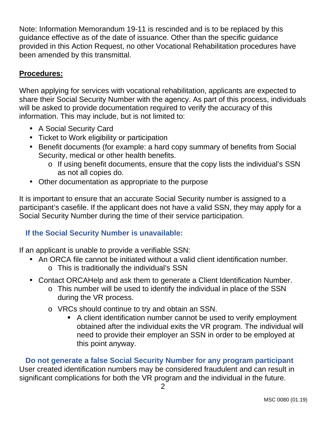Note: Information Memorandum 19-11 is rescinded and is to be replaced by this guidance effective as of the date of issuance. Other than the specific guidance provided in this Action Request, no other Vocational Rehabilitation procedures have been amended by this transmittal.

## **Procedures:**

When applying for services with vocational rehabilitation, applicants are expected to share their Social Security Number with the agency. As part of this process, individuals will be asked to provide documentation required to verify the accuracy of this information. This may include, but is not limited to:

- A Social Security Card
- Ticket to Work eligibility or participation
- Benefit documents (for example: a hard copy summary of benefits from Social Security, medical or other health benefits.
	- o If using benefit documents, ensure that the copy lists the individual's SSN as not all copies do.
- Other documentation as appropriate to the purpose

It is important to ensure that an accurate Social Security number is assigned to a participant's casefile. If the applicant does not have a valid SSN, they may apply for a Social Security Number during the time of their service participation.

## **If the Social Security Number is unavailable:**

If an applicant is unable to provide a verifiable SSN:

- An ORCA file cannot be initiated without a valid client identification number.
	- o This is traditionally the individual's SSN
- Contact ORCAHelp and ask them to generate a Client Identification Number.
	- o This number will be used to identify the individual in place of the SSN during the VR process.
	- o VRCs should continue to try and obtain an SSN.
		- A client identification number cannot be used to verify employment obtained after the individual exits the VR program. The individual will need to provide their employer an SSN in order to be employed at this point anyway.

 **Do not generate a false Social Security Number for any program participant**  User created identification numbers may be considered fraudulent and can result in significant complications for both the VR program and the individual in the future.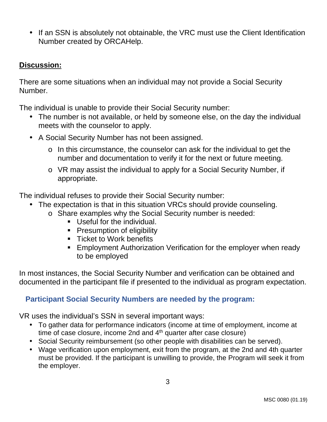• If an SSN is absolutely not obtainable, the VRC must use the Client Identification Number created by ORCAHelp.

#### **Discussion:**

There are some situations when an individual may not provide a Social Security Number.

The individual is unable to provide their Social Security number:

- The number is not available, or held by someone else, on the day the individual meets with the counselor to apply.
- A Social Security Number has not been assigned.
	- o In this circumstance, the counselor can ask for the individual to get the number and documentation to verify it for the next or future meeting.
	- o VR may assist the individual to apply for a Social Security Number, if appropriate.

The individual refuses to provide their Social Security number:

- The expectation is that in this situation VRCs should provide counseling.
	- o Share examples why the Social Security number is needed:
		- Useful for the individual.
		- **Presumption of eligibility**
		- **Ticket to Work benefits**
		- **Employment Authorization Verification for the employer when ready** to be employed

In most instances, the Social Security Number and verification can be obtained and documented in the participant file if presented to the individual as program expectation.

### **Participant Social Security Numbers are needed by the program:**

VR uses the individual's SSN in several important ways:

- To gather data for performance indicators (income at time of employment, income at time of case closure, income 2nd and 4<sup>th</sup> quarter after case closure)
- Social Security reimbursement (so other people with disabilities can be served).
- Wage verification upon employment, exit from the program, at the 2nd and 4th quarter must be provided. If the participant is unwilling to provide, the Program will seek it from the employer.